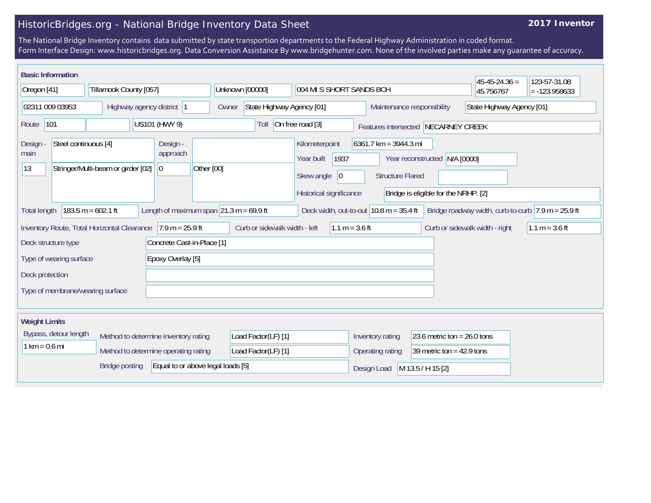## HistoricBridges.org - National Bridge Inventory Data Sheet

## **2017 Inventor**

The National Bridge Inventory contains data submitted by state transportion departments to the Federal Highway Administration in coded format. Form Interface Design: www.historicbridges.org. Data Conversion Assistance By www.bridgehunter.com. None of the involved parties make any guarantee of accuracy.

| <b>Basic Information</b>                      |                                                                                     |                                             |                                                                                      |                                                    |                                                                       | $45 - 45 - 24.36 =$                                                    | 123-57-31.08     |
|-----------------------------------------------|-------------------------------------------------------------------------------------|---------------------------------------------|--------------------------------------------------------------------------------------|----------------------------------------------------|-----------------------------------------------------------------------|------------------------------------------------------------------------|------------------|
| Tillamook County [057]<br>Oregon [41]         |                                                                                     | Unknown [00000]<br>004 MI S SHORT SANDS BCH |                                                                                      |                                                    |                                                                       | 45.756767                                                              | $= -123.958633$  |
| 02311 009 03953                               | Highway agency district 1                                                           | State Highway Agency [01]<br>Owner          |                                                                                      | Maintenance responsibility                         |                                                                       | State Highway Agency [01]                                              |                  |
| 101<br>Route                                  | US101 (HWY 9)                                                                       | Toll                                        | On free road [3]                                                                     | Features intersected NECARNEY CREEK                |                                                                       |                                                                        |                  |
| Steel continuous [4]<br>Design<br>main<br> 13 | Design -<br>approach<br>Stringer/Multi-beam or girder [02]<br>Other [00]<br>10      |                                             | Kilometerpoint<br>1937<br>Year built<br>Skew angle<br> 0 <br>Historical significance | $6361.7$ km = 3944.3 mi<br><b>Structure Flared</b> | Year reconstructed N/A [0000]<br>Bridge is eligible for the NRHP. [2] |                                                                        |                  |
| <b>Total length</b>                           | $183.5 m = 602.1 ft$<br>Length of maximum span $ 21.3 \text{ m} = 69.9 \text{ ft} $ |                                             | Deck width, out-to-out $10.8$ m = 35.4 ft                                            |                                                    |                                                                       | Bridge roadway width, curb-to-curb $ 7.9 \text{ m} = 25.9 \text{ ft} $ |                  |
|                                               | $7.9 m = 25.9 ft$<br>Inventory Route, Total Horizontal Clearance                    | Curb or sidewalk width - left               | $1.1 m = 3.6 ft$                                                                     |                                                    |                                                                       | Curb or sidewalk width - right                                         | $1.1 m = 3.6 ft$ |
| Deck structure type                           | Concrete Cast-in-Place [1]                                                          |                                             |                                                                                      |                                                    |                                                                       |                                                                        |                  |
| Type of wearing surface                       | Epoxy Overlay [5]                                                                   |                                             |                                                                                      |                                                    |                                                                       |                                                                        |                  |
| Deck protection                               |                                                                                     |                                             |                                                                                      |                                                    |                                                                       |                                                                        |                  |
| Type of membrane/wearing surface              |                                                                                     |                                             |                                                                                      |                                                    |                                                                       |                                                                        |                  |
| <b>Weight Limits</b>                          |                                                                                     |                                             |                                                                                      |                                                    |                                                                       |                                                                        |                  |
| Bypass, detour length                         | Method to determine inventory rating                                                | Load Factor(LF) [1]                         |                                                                                      | Inventory rating                                   | 23.6 metric ton = $26.0$ tons                                         |                                                                        |                  |
| $1 km = 0.6 mi$                               | Method to determine operating rating                                                | Load Factor(LF) [1]                         |                                                                                      | Operating rating                                   | 39 metric ton = $42.9$ tons                                           |                                                                        |                  |
|                                               | <b>Bridge posting</b><br>Equal to or above legal loads [5]                          |                                             |                                                                                      | Design Load                                        | M 13.5 / H 15 [2]                                                     |                                                                        |                  |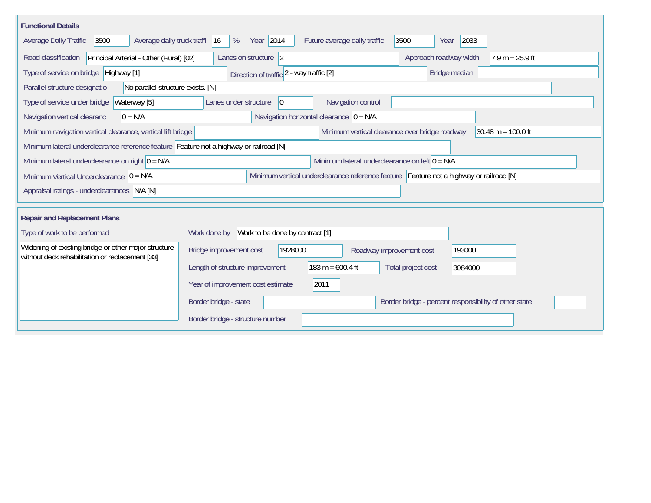| <b>Functional Details</b>                                                                               |                                                 |                                                                                         |                                                       |                                      |
|---------------------------------------------------------------------------------------------------------|-------------------------------------------------|-----------------------------------------------------------------------------------------|-------------------------------------------------------|--------------------------------------|
| Average daily truck traffi<br>3500<br>Average Daily Traffic                                             | Year 2014<br> 16<br>%                           | Future average daily traffic                                                            | 3500<br>2033<br>Year                                  |                                      |
| Road classification<br>Principal Arterial - Other (Rural) [02]                                          | Lanes on structure $ 2$                         |                                                                                         | Approach roadway width                                | $7.9 m = 25.9 ft$                    |
| Type of service on bridge Highway [1]                                                                   | Direction of traffic 2 - way traffic [2]        |                                                                                         | Bridge median                                         |                                      |
| No parallel structure exists. [N]<br>Parallel structure designatio                                      |                                                 |                                                                                         |                                                       |                                      |
| Type of service under bridge<br>Waterway [5]                                                            | Lanes under structure<br>$ 0\rangle$            | Navigation control                                                                      |                                                       |                                      |
| Navigation vertical clearanc<br>$0 = N/A$                                                               |                                                 | Navigation horizontal clearance $ 0 = N/A$                                              |                                                       |                                      |
| Minimum navigation vertical clearance, vertical lift bridge                                             |                                                 | Minimum vertical clearance over bridge roadway                                          |                                                       | $30.48 \text{ m} = 100.0 \text{ ft}$ |
| Minimum lateral underclearance reference feature Feature not a highway or railroad [N]                  |                                                 |                                                                                         |                                                       |                                      |
| Minimum lateral underclearance on right $0 = N/A$                                                       |                                                 | Minimum lateral underclearance on left $0 = N/A$                                        |                                                       |                                      |
| Minimum Vertical Underclearance $ 0 = N/A$                                                              |                                                 | Minimum vertical underclearance reference feature Feature not a highway or railroad [N] |                                                       |                                      |
| Appraisal ratings - underclearances N/A [N]                                                             |                                                 |                                                                                         |                                                       |                                      |
|                                                                                                         |                                                 |                                                                                         |                                                       |                                      |
| <b>Repair and Replacement Plans</b>                                                                     |                                                 |                                                                                         |                                                       |                                      |
| Type of work to be performed                                                                            | Work to be done by contract [1]<br>Work done by |                                                                                         |                                                       |                                      |
| Widening of existing bridge or other major structure<br>without deck rehabilitation or replacement [33] | 1928000<br>Bridge improvement cost              | Roadway improvement cost                                                                | 193000                                                |                                      |
|                                                                                                         | Length of structure improvement                 | 183 m = $600.4$ ft                                                                      | Total project cost<br>3084000                         |                                      |
|                                                                                                         | Year of improvement cost estimate               | 2011                                                                                    |                                                       |                                      |
|                                                                                                         | Border bridge - state                           |                                                                                         | Border bridge - percent responsibility of other state |                                      |
|                                                                                                         | Border bridge - structure number                |                                                                                         |                                                       |                                      |